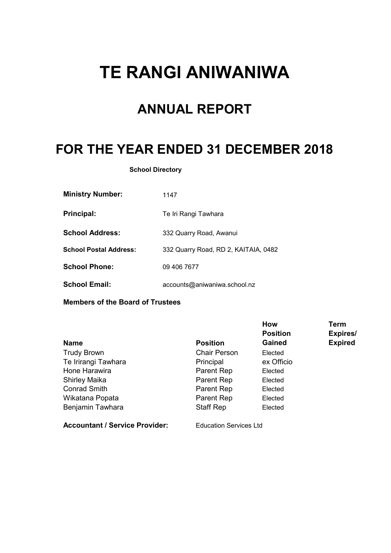# **TE RANGI ANIWANIWA**

## **ANNUAL REPORT**

## **FOR THE YEAR ENDED 31 DECEMBER 2018**

**School Directory**

| <b>Ministry Number:</b>       | 1147                                 |
|-------------------------------|--------------------------------------|
| <b>Principal:</b>             | Te Iri Rangi Tawhara                 |
| <b>School Address:</b>        | 332 Quarry Road, Awanui              |
| <b>School Postal Address:</b> | 332 Quarry Road, RD 2, KAITAIA, 0482 |
| <b>School Phone:</b>          | 09 406 7677                          |
| <b>School Email:</b>          | accounts@aniwaniwa.school.nz         |

**Members of the Board of Trustees**

| <b>Name</b>                           | <b>Position</b>               | <b>How</b><br><b>Position</b><br><b>Gained</b> | <b>Term</b><br>Expires/<br><b>Expired</b> |
|---------------------------------------|-------------------------------|------------------------------------------------|-------------------------------------------|
| <b>Trudy Brown</b>                    | <b>Chair Person</b>           | Elected                                        |                                           |
| Te Irirangi Tawhara                   | Principal                     | ex Officio                                     |                                           |
| Hone Harawira                         | Parent Rep                    | Elected                                        |                                           |
| <b>Shirley Maika</b>                  | Parent Rep                    | Elected                                        |                                           |
| <b>Conrad Smith</b>                   | Parent Rep                    | Elected                                        |                                           |
| Wikatana Popata                       | Parent Rep                    | Elected                                        |                                           |
| Benjamin Tawhara                      | <b>Staff Rep</b>              | Elected                                        |                                           |
| <b>Accountant / Service Provider:</b> | <b>Education Services Ltd</b> |                                                |                                           |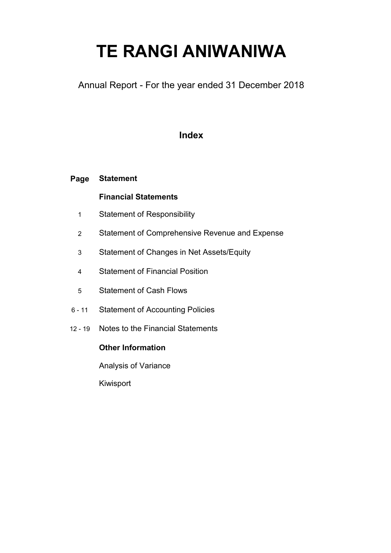# **TE RANGI ANIWANIWA**

Annual Report - For the year ended 31 December 2018

### **Index**

#### **Page Statement**

### **Financial Statements**

- 1 Statement of Responsibility
- 2 Statement of Comprehensive Revenue and Expense
- 3 Statement of Changes in Net Assets/Equity
- 4 Statement of Financial Position
- 5 Statement of Cash Flows
- 6 11 Statement of Accounting Policies
- 12 19 Notes to the Financial Statements

#### **Other Information**

Analysis of Variance

Kiwisport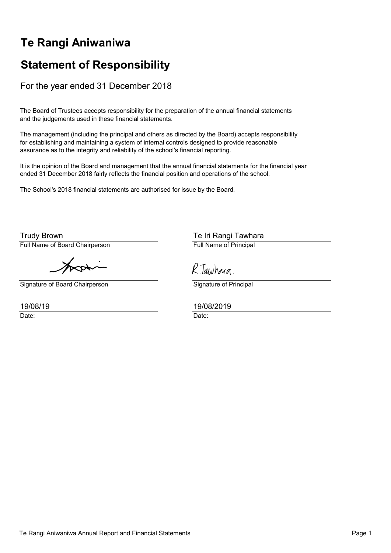## **Te Rangi Aniwaniwa**

## **Statement of Responsibility**

For the year ended 31 December 2018

The Board of Trustees accepts responsibility for the preparation of the annual financial statements and the judgements used in these financial statements.

The management (including the principal and others as directed by the Board) accepts responsibility for establishing and maintaining a system of internal controls designed to provide reasonable assurance as to the integrity and reliability of the school's financial reporting.

It is the opinion of the Board and management that the annual financial statements for the financial year ended 31 December 2018 fairly reflects the financial position and operations of the school.

The School's 2018 financial statements are authorised for issue by the Board.

Full Name of Board Chairperson **Full Name of Principal** Trudy Brown

Signature of Board Chairperson Signature of Principal

19/08/19

Te Iri Rangi Tawhara

R. Tawhara.

19/08/2019

Date: **Date: Date: Date: Date: Date: Date: Date: Date: Date: Date: Date: Date: Date: Date: Date: Date: Date: Date: Date: Date: Date: Date: Date: Date: Date: Date: Date:**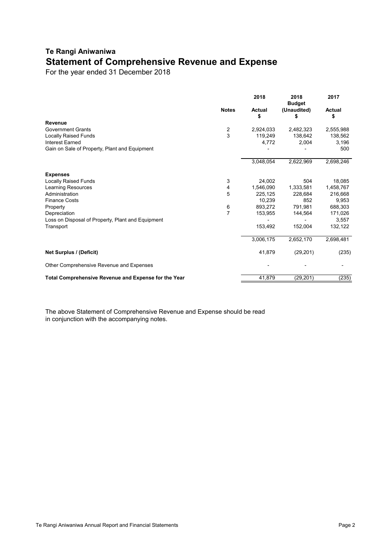### **Te Rangi Aniwaniwa Statement of Comprehensive Revenue and Expense**

For the year ended 31 December 2018

|                                                      |                         | 2018                | 2018<br><b>Budget</b> | 2017                |
|------------------------------------------------------|-------------------------|---------------------|-----------------------|---------------------|
|                                                      | <b>Notes</b>            | <b>Actual</b><br>\$ | (Unaudited)<br>\$     | <b>Actual</b><br>\$ |
| <b>Revenue</b>                                       |                         |                     |                       |                     |
| <b>Government Grants</b>                             | $\overline{\mathbf{c}}$ | 2,924,033           | 2,482,323             | 2,555,988           |
| <b>Locally Raised Funds</b>                          | 3                       | 119,249             | 138,642               | 138,562             |
| <b>Interest Earned</b>                               |                         | 4,772               | 2,004                 | 3,196               |
| Gain on Sale of Property, Plant and Equipment        |                         |                     |                       | 500                 |
|                                                      |                         | 3,048,054           | 2,622,969             | 2,698,246           |
| <b>Expenses</b>                                      |                         |                     |                       |                     |
| <b>Locally Raised Funds</b>                          | 3                       | 24,002              | 504                   | 18,085              |
| Learning Resources                                   | 4                       | 1,546,090           | 1,333,581             | 1,458,767           |
| Administration                                       | 5                       | 225,125             | 228,684               | 216,668             |
| <b>Finance Costs</b>                                 |                         | 10,239              | 852                   | 9,953               |
| Property                                             | 6                       | 893,272             | 791,981               | 688,303             |
| Depreciation                                         | $\overline{7}$          | 153,955             | 144,564               | 171,026             |
| Loss on Disposal of Property, Plant and Equipment    |                         |                     |                       | 3,557               |
| Transport                                            |                         | 153,492             | 152,004               | 132,122             |
|                                                      |                         | 3,006,175           | 2,652,170             | 2,698,481           |
| <b>Net Surplus / (Deficit)</b>                       |                         | 41,879              | (29, 201)             | (235)               |
| Other Comprehensive Revenue and Expenses             |                         |                     |                       |                     |
| Total Comprehensive Revenue and Expense for the Year |                         | 41,879              | (29, 201)             | (235)               |

The above Statement of Comprehensive Revenue and Expense should be read in conjunction with the accompanying notes.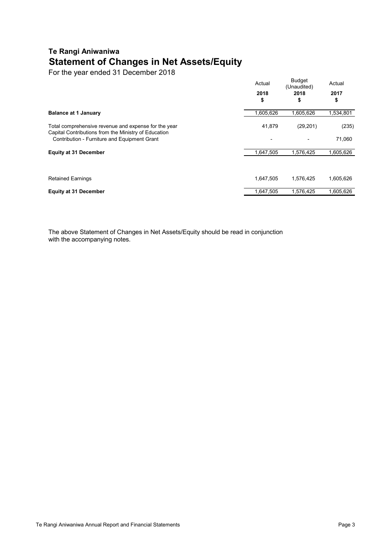### **Te Rangi Aniwaniwa Statement of Changes in Net Assets/Equity**

For the year ended 31 December 2018

|                                                                                                                                                              | Actual<br>2018<br>\$ | <b>Budget</b><br>(Unaudited)<br>2018<br>\$ | Actual<br>2017<br>\$ |
|--------------------------------------------------------------------------------------------------------------------------------------------------------------|----------------------|--------------------------------------------|----------------------|
| <b>Balance at 1 January</b>                                                                                                                                  | 1,605,626            | 1,605,626                                  | 1,534,801            |
| Total comprehensive revenue and expense for the year<br>Capital Contributions from the Ministry of Education<br>Contribution - Furniture and Equipment Grant | 41,879               | (29, 201)                                  | (235)<br>71,060      |
| <b>Equity at 31 December</b>                                                                                                                                 | 1,647,505            | 1,576,425                                  | 1,605,626            |
| <b>Retained Earnings</b>                                                                                                                                     | 1,647,505            | 1,576,425                                  | 1,605,626            |
| <b>Equity at 31 December</b>                                                                                                                                 | 1,647,505            | 1,576,425                                  | 1,605,626            |

The above Statement of Changes in Net Assets/Equity should be read in conjunction with the accompanying notes.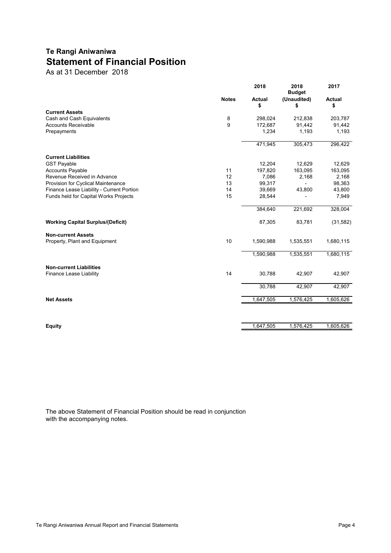### **Te Rangi Aniwaniwa Statement of Financial Position**

As at 31 December 2018

|                                           |              | 2018                | 2018<br><b>Budget</b> | 2017                |
|-------------------------------------------|--------------|---------------------|-----------------------|---------------------|
|                                           | <b>Notes</b> | <b>Actual</b><br>\$ | (Unaudited)<br>\$     | <b>Actual</b><br>\$ |
| <b>Current Assets</b>                     |              |                     |                       |                     |
| Cash and Cash Equivalents                 | 8            | 298,024             | 212,838               | 203,787             |
| <b>Accounts Receivable</b>                | 9            | 172,687             | 91,442                | 91,442              |
| Prepayments                               |              | 1,234               | 1,193                 | 1,193               |
|                                           |              | 471,945             | 305,473               | 296,422             |
| <b>Current Liabilities</b>                |              |                     |                       |                     |
| <b>GST Payable</b>                        |              | 12,204              | 12,629                | 12,629              |
| <b>Accounts Payable</b>                   | 11           | 197,820             | 163,095               | 163,095             |
| Revenue Received in Advance               | 12           | 7,086               | 2,168                 | 2,168               |
| Provision for Cyclical Maintenance        | 13           | 99,317              |                       | 98,363              |
| Finance Lease Liability - Current Portion | 14           | 39,669              | 43,800                | 43,800              |
| Funds held for Capital Works Projects     | 15           | 28,544              |                       | 7,949               |
|                                           |              | 384,640             | 221,692               | 328,004             |
| <b>Working Capital Surplus/(Deficit)</b>  |              | 87,305              | 83,781                | (31, 582)           |
| <b>Non-current Assets</b>                 |              |                     |                       |                     |
| Property, Plant and Equipment             | 10           | 1,590,988           | 1,535,551             | 1,680,115           |
|                                           |              | 1,590,988           | 1,535,551             | 1,680,115           |
| <b>Non-current Liabilities</b>            |              |                     |                       |                     |
| <b>Finance Lease Liability</b>            | 14           | 30,788              | 42,907                | 42,907              |
|                                           |              | 30,788              | 42,907                | 42,907              |
| <b>Net Assets</b>                         |              | 1,647,505           | 1,576,425             | 1,605,626           |
|                                           |              |                     |                       |                     |
| <b>Equity</b>                             |              | 1,647,505           | 1,576,425             | 1,605,626           |
|                                           |              |                     |                       |                     |

The above Statement of Financial Position should be read in conjunction with the accompanying notes.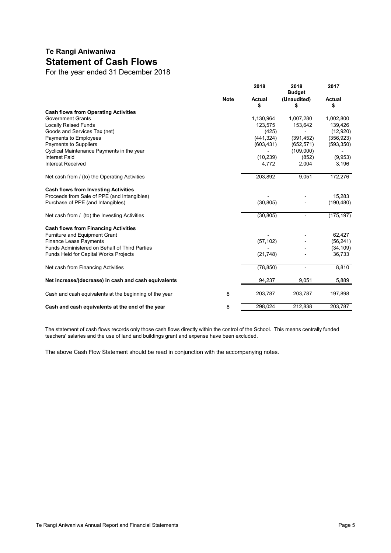### **Te Rangi Aniwaniwa Statement of Cash Flows**

For the year ended 31 December 2018

|                                                        |             | 2018                | 2018<br><b>Budget</b> | 2017                |
|--------------------------------------------------------|-------------|---------------------|-----------------------|---------------------|
|                                                        | <b>Note</b> | <b>Actual</b><br>\$ | (Unaudited)<br>\$     | <b>Actual</b><br>\$ |
| <b>Cash flows from Operating Activities</b>            |             |                     |                       |                     |
| <b>Government Grants</b>                               |             | 1,130,964           | 1,007,280             | 1,002,800           |
| <b>Locally Raised Funds</b>                            |             | 123,575             | 153,642               | 139,426             |
| Goods and Services Tax (net)                           |             | (425)               |                       | (12,920)            |
| Payments to Employees                                  |             | (441, 324)          | (391, 452)            | (356, 923)          |
| Payments to Suppliers                                  |             | (603, 431)          | (652, 571)            | (593, 350)          |
| Cyclical Maintenance Payments in the year              |             |                     | (109,000)             |                     |
| <b>Interest Paid</b>                                   |             | (10, 239)           | (852)                 | (9,953)             |
| <b>Interest Received</b>                               |             | 4,772               | 2,004                 | 3,196               |
| Net cash from / (to) the Operating Activities          |             | 203,892             | 9,051                 | 172,276             |
| <b>Cash flows from Investing Activities</b>            |             |                     |                       |                     |
| Proceeds from Sale of PPE (and Intangibles)            |             |                     |                       | 15,283              |
| Purchase of PPE (and Intangibles)                      |             | (30, 805)           |                       | (190, 480)          |
| Net cash from / (to) the Investing Activities          |             | (30, 805)           | $\blacksquare$        | (175, 197)          |
| <b>Cash flows from Financing Activities</b>            |             |                     |                       |                     |
| Furniture and Equipment Grant                          |             |                     |                       | 62,427              |
| <b>Finance Lease Payments</b>                          |             | (57, 102)           |                       | (56, 241)           |
| Funds Administered on Behalf of Third Parties          |             |                     |                       | (34, 109)           |
| Funds Held for Capital Works Projects                  |             | (21, 748)           |                       | 36,733              |
| Net cash from Financing Activities                     |             | (78, 850)           | $\blacksquare$        | 8,810               |
| Net increase/(decrease) in cash and cash equivalents   |             | 94,237              | 9,051                 | 5,889               |
| Cash and cash equivalents at the beginning of the year | 8           | 203,787             | 203,787               | 197,898             |
| Cash and cash equivalents at the end of the year       | 8           | 298,024             | 212,838               | 203,787             |

The statement of cash flows records only those cash flows directly within the control of the School. This means centrally funded teachers' salaries and the use of land and buildings grant and expense have been excluded.

The above Cash Flow Statement should be read in conjunction with the accompanying notes.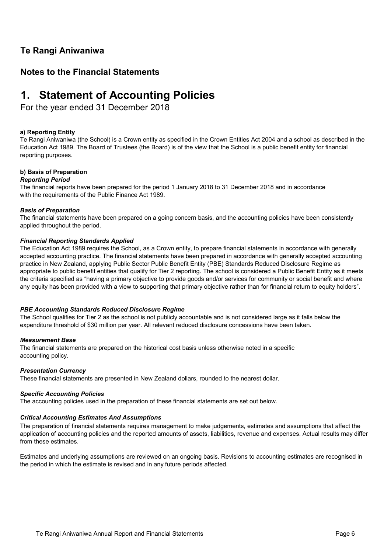### **Te Rangi Aniwaniwa**

### **Notes to the Financial Statements**

## **1. Statement of Accounting Policies**

For the year ended 31 December 2018

#### **a) Reporting Entity**

Te Rangi Aniwaniwa (the School) is a Crown entity as specified in the Crown Entities Act 2004 and a school as described in the Education Act 1989. The Board of Trustees (the Board) is of the view that the School is a public benefit entity for financial reporting purposes.

#### **b) Basis of Preparation**

#### *Reporting Period*

The financial reports have been prepared for the period 1 January 2018 to 31 December 2018 and in accordance with the requirements of the Public Finance Act 1989.

#### *Basis of Preparation*

The financial statements have been prepared on a going concern basis, and the accounting policies have been consistently applied throughout the period.

#### *Financial Reporting Standards Applied*

The Education Act 1989 requires the School, as a Crown entity, to prepare financial statements in accordance with generally accepted accounting practice. The financial statements have been prepared in accordance with generally accepted accounting practice in New Zealand, applying Public Sector Public Benefit Entity (PBE) Standards Reduced Disclosure Regime as appropriate to public benefit entities that qualify for Tier 2 reporting. The school is considered a Public Benefit Entity as it meets the criteria specified as "having a primary objective to provide goods and/or services for community or social benefit and where any equity has been provided with a view to supporting that primary objective rather than for financial return to equity holders".

#### *PBE Accounting Standards Reduced Disclosure Regime*

The School qualifies for Tier 2 as the school is not publicly accountable and is not considered large as it falls below the expenditure threshold of \$30 million per year. All relevant reduced disclosure concessions have been taken.

#### *Measurement Base*

The financial statements are prepared on the historical cost basis unless otherwise noted in a specific accounting policy.

#### *Presentation Currency*

These financial statements are presented in New Zealand dollars, rounded to the nearest dollar.

#### *Specific Accounting Policies*

The accounting policies used in the preparation of these financial statements are set out below.

#### *Critical Accounting Estimates And Assumptions*

The preparation of financial statements requires management to make judgements, estimates and assumptions that affect the application of accounting policies and the reported amounts of assets, liabilities, revenue and expenses. Actual results may differ from these estimates.

Estimates and underlying assumptions are reviewed on an ongoing basis. Revisions to accounting estimates are recognised in the period in which the estimate is revised and in any future periods affected.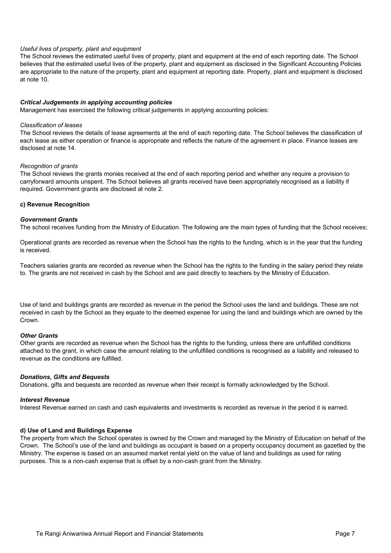#### *Useful lives of property, plant and equipment*

The School reviews the estimated useful lives of property, plant and equipment at the end of each reporting date. The School believes that the estimated useful lives of the property, plant and equipment as disclosed in the Significant Accounting Policies are appropriate to the nature of the property, plant and equipment at reporting date. Property, plant and equipment is disclosed at note 10.

#### *Critical Judgements in applying accounting policies*

Management has exercised the following critical judgements in applying accounting policies:

#### *Classification of leases*

The School reviews the details of lease agreements at the end of each reporting date. The School believes the classification of each lease as either operation or finance is appropriate and reflects the nature of the agreement in place. Finance leases are disclosed at note 14.

#### *Recognition of grants*

The School reviews the grants monies received at the end of each reporting period and whether any require a provision to carryforward amounts unspent. The School believes all grants received have been appropriately recognised as a liability if required. Government grants are disclosed at note 2.

#### **c) Revenue Recognition**

#### *Government Grants*

The school receives funding from the Ministry of Education. The following are the main types of funding that the School receives;

Operational grants are recorded as revenue when the School has the rights to the funding, which is in the year that the funding is received.

Teachers salaries grants are recorded as revenue when the School has the rights to the funding in the salary period they relate to. The grants are not received in cash by the School and are paid directly to teachers by the Ministry of Education.

Use of land and buildings grants are recorded as revenue in the period the School uses the land and buildings. These are not received in cash by the School as they equate to the deemed expense for using the land and buildings which are owned by the Crown.

#### *Other Grants*

Other grants are recorded as revenue when the School has the rights to the funding, unless there are unfulfilled conditions attached to the grant, in which case the amount relating to the unfulfilled conditions is recognised as a liability and released to revenue as the conditions are fulfilled.

#### *Donations, Gifts and Bequests*

Donations, gifts and bequests are recorded as revenue when their receipt is formally acknowledged by the School.

#### *Interest Revenue*

Interest Revenue earned on cash and cash equivalents and investments is recorded as revenue in the period it is earned.

#### **d) Use of Land and Buildings Expense**

The property from which the School operates is owned by the Crown and managed by the Ministry of Education on behalf of the Crown. The School's use of the land and buildings as occupant is based on a property occupancy document as gazetted by the Ministry. The expense is based on an assumed market rental yield on the value of land and buildings as used for rating purposes. This is a non-cash expense that is offset by a non-cash grant from the Ministry.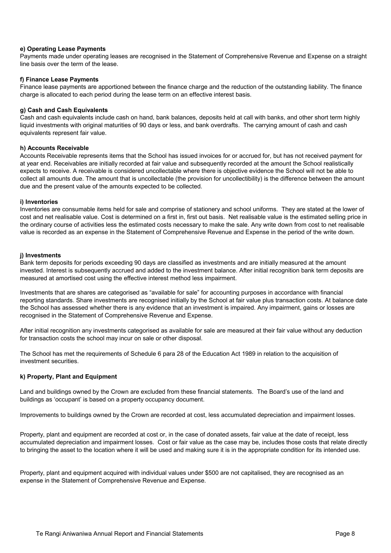#### **e) Operating Lease Payments**

Payments made under operating leases are recognised in the Statement of Comprehensive Revenue and Expense on a straight line basis over the term of the lease.

#### **f) Finance Lease Payments**

Finance lease payments are apportioned between the finance charge and the reduction of the outstanding liability. The finance charge is allocated to each period during the lease term on an effective interest basis.

#### **g) Cash and Cash Equivalents**

Cash and cash equivalents include cash on hand, bank balances, deposits held at call with banks, and other short term highly liquid investments with original maturities of 90 days or less, and bank overdrafts. The carrying amount of cash and cash equivalents represent fair value.

#### **h) Accounts Receivable**

Accounts Receivable represents items that the School has issued invoices for or accrued for, but has not received payment for at year end. Receivables are initially recorded at fair value and subsequently recorded at the amount the School realistically expects to receive. A receivable is considered uncollectable where there is objective evidence the School will not be able to collect all amounts due. The amount that is uncollectable (the provision for uncollectibility) is the difference between the amount due and the present value of the amounts expected to be collected.

#### **i) Inventories**

Inventories are consumable items held for sale and comprise of stationery and school uniforms. They are stated at the lower of cost and net realisable value. Cost is determined on a first in, first out basis. Net realisable value is the estimated selling price in the ordinary course of activities less the estimated costs necessary to make the sale. Any write down from cost to net realisable value is recorded as an expense in the Statement of Comprehensive Revenue and Expense in the period of the write down.

#### **j) Investments**

Bank term deposits for periods exceeding 90 days are classified as investments and are initially measured at the amount invested. Interest is subsequently accrued and added to the investment balance. After initial recognition bank term deposits are measured at amortised cost using the effective interest method less impairment.

Investments that are shares are categorised as "available for sale" for accounting purposes in accordance with financial reporting standards. Share investments are recognised initially by the School at fair value plus transaction costs. At balance date the School has assessed whether there is any evidence that an investment is impaired. Any impairment, gains or losses are recognised in the Statement of Comprehensive Revenue and Expense.

After initial recognition any investments categorised as available for sale are measured at their fair value without any deduction for transaction costs the school may incur on sale or other disposal.

The School has met the requirements of Schedule 6 para 28 of the Education Act 1989 in relation to the acquisition of investment securities.

#### **k) Property, Plant and Equipment**

Land and buildings owned by the Crown are excluded from these financial statements. The Board's use of the land and buildings as 'occupant' is based on a property occupancy document.

Improvements to buildings owned by the Crown are recorded at cost, less accumulated depreciation and impairment losses.

Property, plant and equipment are recorded at cost or, in the case of donated assets, fair value at the date of receipt, less accumulated depreciation and impairment losses. Cost or fair value as the case may be, includes those costs that relate directly to bringing the asset to the location where it will be used and making sure it is in the appropriate condition for its intended use.

Property, plant and equipment acquired with individual values under \$500 are not capitalised, they are recognised as an expense in the Statement of Comprehensive Revenue and Expense.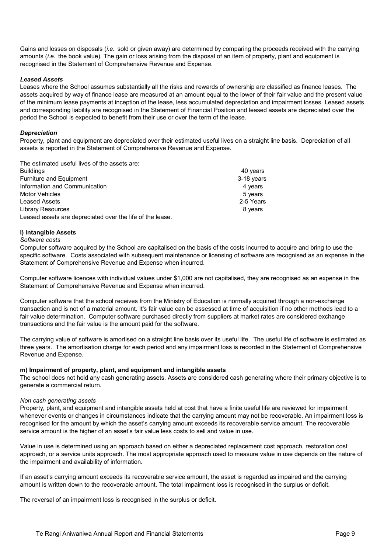Gains and losses on disposals (*i.e.* sold or given away) are determined by comparing the proceeds received with the carrying amounts (*i.e.* the book value). The gain or loss arising from the disposal of an item of property, plant and equipment is recognised in the Statement of Comprehensive Revenue and Expense.

#### *Leased Assets*

Leases where the School assumes substantially all the risks and rewards of ownership are classified as finance leases. The assets acquired by way of finance lease are measured at an amount equal to the lower of their fair value and the present value of the minimum lease payments at inception of the lease, less accumulated depreciation and impairment losses. Leased assets and corresponding liability are recognised in the Statement of Financial Position and leased assets are depreciated over the period the School is expected to benefit from their use or over the term of the lease.

#### *Depreciation*

Property, plant and equipment are depreciated over their estimated useful lives on a straight line basis. Depreciation of all assets is reported in the Statement of Comprehensive Revenue and Expense.

The estimated useful lives of the assets are:

| <b>Buildings</b>                                          | 40 years   |
|-----------------------------------------------------------|------------|
| Furniture and Equipment                                   | 3-18 years |
| Information and Communication                             | 4 years    |
| <b>Motor Vehicles</b>                                     | 5 years    |
| <b>Leased Assets</b>                                      | 2-5 Years  |
| <b>Library Resources</b>                                  | 8 vears    |
| Leased assets are depreciated over the life of the lease. |            |

#### **l) Intangible Assets**

*Software costs*

Computer software acquired by the School are capitalised on the basis of the costs incurred to acquire and bring to use the specific software. Costs associated with subsequent maintenance or licensing of software are recognised as an expense in the Statement of Comprehensive Revenue and Expense when incurred.

Computer software licences with individual values under \$1,000 are not capitalised, they are recognised as an expense in the Statement of Comprehensive Revenue and Expense when incurred.

Computer software that the school receives from the Ministry of Education is normally acquired through a non-exchange transaction and is not of a material amount. It's fair value can be assessed at time of acquisition if no other methods lead to a fair value determination. Computer software purchased directly from suppliers at market rates are considered exchange transactions and the fair value is the amount paid for the software.

The carrying value of software is amortised on a straight line basis over its useful life. The useful life of software is estimated as three years. The amortisation charge for each period and any impairment loss is recorded in the Statement of Comprehensive Revenue and Expense.

#### **m) Impairment of property, plant, and equipment and intangible assets**

The school does not hold any cash generating assets. Assets are considered cash generating where their primary objective is to generate a commercial return.

#### *Non cash generating assets*

Property, plant, and equipment and intangible assets held at cost that have a finite useful life are reviewed for impairment whenever events or changes in circumstances indicate that the carrying amount may not be recoverable. An impairment loss is recognised for the amount by which the asset's carrying amount exceeds its recoverable service amount. The recoverable service amount is the higher of an asset's fair value less costs to sell and value in use.

Value in use is determined using an approach based on either a depreciated replacement cost approach, restoration cost approach, or a service units approach. The most appropriate approach used to measure value in use depends on the nature of the impairment and availability of information.

If an asset's carrying amount exceeds its recoverable service amount, the asset is regarded as impaired and the carrying amount is written down to the recoverable amount. The total impairment loss is recognised in the surplus or deficit.

The reversal of an impairment loss is recognised in the surplus or deficit.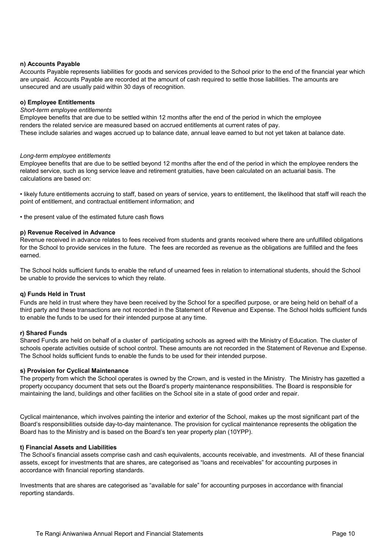#### **n) Accounts Payable**

Accounts Payable represents liabilities for goods and services provided to the School prior to the end of the financial year which are unpaid. Accounts Payable are recorded at the amount of cash required to settle those liabilities. The amounts are unsecured and are usually paid within 30 days of recognition.

#### **o) Employee Entitlements**

#### *Short-term employee entitlements*

Employee benefits that are due to be settled within 12 months after the end of the period in which the employee renders the related service are measured based on accrued entitlements at current rates of pay. These include salaries and wages accrued up to balance date, annual leave earned to but not yet taken at balance date.

#### *Long-term employee entitlements*

Employee benefits that are due to be settled beyond 12 months after the end of the period in which the employee renders the related service, such as long service leave and retirement gratuities, have been calculated on an actuarial basis. The calculations are based on:

• likely future entitlements accruing to staff, based on years of service, years to entitlement, the likelihood that staff will reach the point of entitlement, and contractual entitlement information; and

• the present value of the estimated future cash flows

#### **p) Revenue Received in Advance**

Revenue received in advance relates to fees received from students and grants received where there are unfulfilled obligations for the School to provide services in the future. The fees are recorded as revenue as the obligations are fulfilled and the fees earned.

The School holds sufficient funds to enable the refund of unearned fees in relation to international students, should the School be unable to provide the services to which they relate.

#### **q) Funds Held in Trust**

Funds are held in trust where they have been received by the School for a specified purpose, or are being held on behalf of a third party and these transactions are not recorded in the Statement of Revenue and Expense. The School holds sufficient funds to enable the funds to be used for their intended purpose at any time.

#### **r) Shared Funds**

Shared Funds are held on behalf of a cluster of participating schools as agreed with the Ministry of Education. The cluster of schools operate activities outside of school control. These amounts are not recorded in the Statement of Revenue and Expense. The School holds sufficient funds to enable the funds to be used for their intended purpose.

#### **s) Provision for Cyclical Maintenance**

The property from which the School operates is owned by the Crown, and is vested in the Ministry. The Ministry has gazetted a property occupancy document that sets out the Board's property maintenance responsibilities. The Board is responsible for maintaining the land, buildings and other facilities on the School site in a state of good order and repair.

Cyclical maintenance, which involves painting the interior and exterior of the School, makes up the most significant part of the Board's responsibilities outside day-to-day maintenance. The provision for cyclical maintenance represents the obligation the Board has to the Ministry and is based on the Board's ten year property plan (10YPP).

#### **t) Financial Assets and Liabilities**

The School's financial assets comprise cash and cash equivalents, accounts receivable, and investments. All of these financial assets, except for investments that are shares, are categorised as "loans and receivables" for accounting purposes in accordance with financial reporting standards.

Investments that are shares are categorised as "available for sale" for accounting purposes in accordance with financial reporting standards.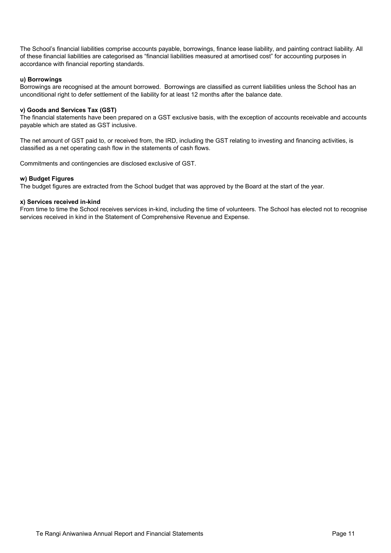The School's financial liabilities comprise accounts payable, borrowings, finance lease liability, and painting contract liability. All of these financial liabilities are categorised as "financial liabilities measured at amortised cost" for accounting purposes in accordance with financial reporting standards.

#### **u) Borrowings**

Borrowings are recognised at the amount borrowed. Borrowings are classified as current liabilities unless the School has an unconditional right to defer settlement of the liability for at least 12 months after the balance date.

#### **v) Goods and Services Tax (GST)**

The financial statements have been prepared on a GST exclusive basis, with the exception of accounts receivable and accounts payable which are stated as GST inclusive.

The net amount of GST paid to, or received from, the IRD, including the GST relating to investing and financing activities, is classified as a net operating cash flow in the statements of cash flows.

Commitments and contingencies are disclosed exclusive of GST.

#### **w) Budget Figures**

The budget figures are extracted from the School budget that was approved by the Board at the start of the year.

#### **x) Services received in-kind**

From time to time the School receives services in-kind, including the time of volunteers. The School has elected not to recognise services received in kind in the Statement of Comprehensive Revenue and Expense.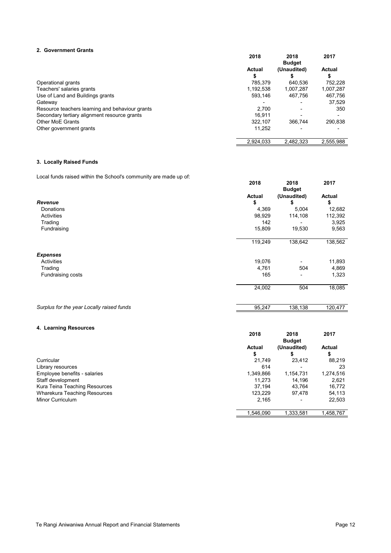#### **2. Government Grants**

|                                                 | 2018                | 2018<br><b>Budget</b> | 2017                |
|-------------------------------------------------|---------------------|-----------------------|---------------------|
|                                                 | <b>Actual</b><br>\$ | (Unaudited)           | <b>Actual</b><br>\$ |
| Operational grants                              | 785,379             | 640,536               | 752,228             |
| Teachers' salaries grants                       | 1,192,538           | 1,007,287             | 1,007,287           |
| Use of Land and Buildings grants                | 593,146             | 467.756               | 467,756             |
| Gateway                                         |                     |                       | 37,529              |
| Resource teachers learning and behaviour grants | 2,700               |                       | 350                 |
| Secondary tertiary alignment resource grants    | 16,911              |                       |                     |
| <b>Other MoE Grants</b>                         | 322,107             | 366,744               | 290,838             |
| Other government grants                         | 11,252              |                       |                     |
|                                                 | 2,924,033           | 2,482,323             | 2,555,988           |

#### **3. Locally Raised Funds**

Local funds raised within the School's community are made up of:

|                                           | 2018          | 2018<br><b>Budget</b> | 2017          |
|-------------------------------------------|---------------|-----------------------|---------------|
|                                           | <b>Actual</b> | (Unaudited)           | <b>Actual</b> |
| Revenue                                   | \$            | S                     | \$            |
| Donations                                 | 4,369         | 5,004                 | 12,682        |
| Activities                                | 98,929        | 114,108               | 112,392       |
| Trading                                   | 142           |                       | 3,925         |
| Fundraising                               | 15,809        | 19,530                | 9,563         |
|                                           | 119,249       | 138,642               | 138,562       |
| <b>Expenses</b>                           |               |                       |               |
| Activities                                | 19,076        |                       | 11,893        |
| Trading                                   | 4,761         | 504                   | 4,869         |
| Fundraising costs                         | 165           |                       | 1,323         |
|                                           | 24,002        | 504                   | 18,085        |
| Surplus for the year Locally raised funds | 95,247        | 138,138               | 120,477       |

#### **4. Learning Resources**

|                                     | 2018                | 2018<br><b>Budget</b> | 2017               |
|-------------------------------------|---------------------|-----------------------|--------------------|
|                                     | <b>Actual</b><br>\$ | (Unaudited)           | <b>Actual</b><br>S |
| Curricular                          | 21,749              | 23,412                | 88,219             |
| Library resources                   | 614                 |                       | 23                 |
| Employee benefits - salaries        | 1,349,866           | 1,154,731             | 1,274,516          |
| Staff development                   | 11,273              | 14,196                | 2,621              |
| Kura Teina Teaching Resources       | 37,194              | 43.764                | 16,772             |
| <b>Wharekura Teaching Resources</b> | 123,229             | 97.478                | 54,113             |
| Minor Curriculum                    | 2,165               |                       | 22,503             |
|                                     | 1,546,090           | 1,333,581             | 1,458,767          |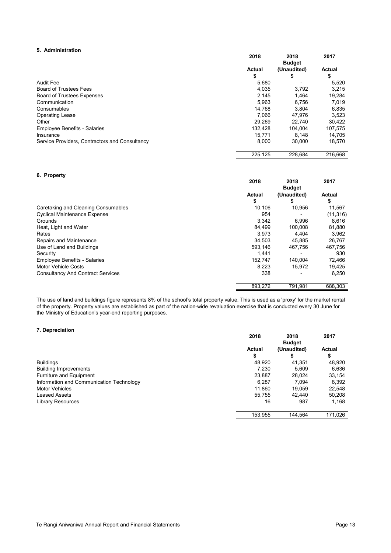#### **5. Administration**

|                                                | 2018          | 2018<br><b>Budget</b> | 2017          |
|------------------------------------------------|---------------|-----------------------|---------------|
|                                                | <b>Actual</b> | (Unaudited)           | <b>Actual</b> |
|                                                | \$            | \$                    | \$            |
| <b>Audit Fee</b>                               | 5,680         |                       | 5,520         |
| <b>Board of Trustees Fees</b>                  | 4,035         | 3,792                 | 3,215         |
| <b>Board of Trustees Expenses</b>              | 2,145         | 1,464                 | 19,284        |
| Communication                                  | 5,963         | 6,756                 | 7,019         |
| Consumables                                    | 14.768        | 3,804                 | 6,835         |
| <b>Operating Lease</b>                         | 7,066         | 47,976                | 3,523         |
| Other                                          | 29,269        | 22,740                | 30,422        |
| <b>Employee Benefits - Salaries</b>            | 132,428       | 104,004               | 107,575       |
| Insurance                                      | 15,771        | 8,148                 | 14,705        |
| Service Providers, Contractors and Consultancy | 8,000         | 30,000                | 18,570        |
|                                                | 225,125       | 228,684               | 216,668       |

#### **6. Property**

|                                          | 2018          | 2018<br><b>Budget</b> | 2017          |
|------------------------------------------|---------------|-----------------------|---------------|
|                                          | <b>Actual</b> | (Unaudited)           | <b>Actual</b> |
|                                          | \$            |                       | \$            |
| Caretaking and Cleaning Consumables      | 10,106        | 10,956                | 11,567        |
| <b>Cyclical Maintenance Expense</b>      | 954           |                       | (11, 316)     |
| Grounds                                  | 3,342         | 6,996                 | 8,616         |
| Heat, Light and Water                    | 84,499        | 100,008               | 81,880        |
| Rates                                    | 3,973         | 4,404                 | 3,962         |
| Repairs and Maintenance                  | 34,503        | 45,885                | 26,767        |
| Use of Land and Buildings                | 593,146       | 467,756               | 467,756       |
| Security                                 | 1,441         |                       | 930           |
| <b>Employee Benefits - Salaries</b>      | 152,747       | 140,004               | 72,466        |
| Motor Vehicle Costs                      | 8,223         | 15,972                | 19,425        |
| <b>Consultancy And Contract Services</b> | 338           |                       | 6,250         |
|                                          | 893,272       | 791,981               | 688,303       |

The use of land and buildings figure represents 8% of the school's total property value. This is used as a 'proxy' for the market rental of the property. Property values are established as part of the nation-wide revaluation exercise that is conducted every 30 June for the Ministry of Education's year-end reporting purposes.

#### **7. Depreciation**

|                                          | 2018                | 2018<br><b>Budget</b> | 2017                |
|------------------------------------------|---------------------|-----------------------|---------------------|
|                                          | <b>Actual</b><br>\$ | (Unaudited)           | <b>Actual</b><br>\$ |
| <b>Buildings</b>                         | 48,920              | 41,351                | 48,920              |
| <b>Building Improvements</b>             | 7,230               | 5,609                 | 6,636               |
| <b>Furniture and Equipment</b>           | 23,887              | 28,024                | 33,154              |
| Information and Communication Technology | 6.287               | 7,094                 | 8,392               |
| <b>Motor Vehicles</b>                    | 11,860              | 19,059                | 22,548              |
| <b>Leased Assets</b>                     | 55.755              | 42.440                | 50,208              |
| <b>Library Resources</b>                 | 16                  | 987                   | 1,168               |
|                                          | 153,955             | 144,564               | 171,026             |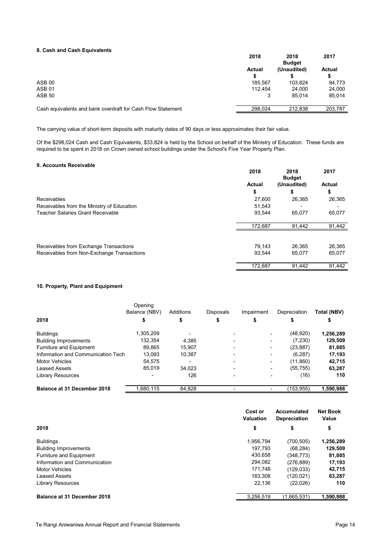#### **8. Cash and Cash Equivalents**

|                                                             | 2018          | 2018<br><b>Budget</b> | 2017          |
|-------------------------------------------------------------|---------------|-----------------------|---------------|
|                                                             | <b>Actual</b> | (Unaudited)           | <b>Actual</b> |
|                                                             | \$            |                       | S             |
| ASB <sub>00</sub>                                           | 185,567       | 103,824               | 94,773        |
| <b>ASB 01</b>                                               | 112,454       | 24.000                | 24,000        |
| <b>ASB 50</b>                                               |               | 85.014                | 85,014        |
| Cash equivalents and bank overdraft for Cash Flow Statement | 298,024       | 212,838               | 203,787       |
|                                                             |               |                       |               |

The carrying value of short-term deposits with maturity dates of 90 days or less approximates their fair value.

Of the \$298,024 Cash and Cash Equivalents, \$33,824 is held by the School on behalf of the Ministry of Education. These funds are required to be spent in 2018 on Crown owned school buildings under the School's Five Year Property Plan.

#### **9. Accounts Receivable**

|                                            | 2018          | 2018<br><b>Budget</b> | 2017          |
|--------------------------------------------|---------------|-----------------------|---------------|
|                                            | <b>Actual</b> | (Unaudited)           | <b>Actual</b> |
|                                            | \$            | Œ                     | \$            |
| Receivables                                | 27,600        | 26,365                | 26,365        |
| Receivables from the Ministry of Education | 51,543        |                       |               |
| <b>Teacher Salaries Grant Receivable</b>   | 93,544        | 65,077                | 65,077        |
|                                            | 172,687       | 91,442                | 91,442        |
|                                            |               |                       |               |
| Receivables from Exchange Transactions     | 79,143        | 26,365                | 26,365        |
| Receivables from Non-Exchange Transactions | 93,544        | 65,077                | 65,077        |
|                                            | 172,687       | 91,442                | 91,442        |

#### **10. Property, Plant and Equipment**

|                                    | Opening<br>Balance (NBV) | Additions                | <b>Disposals</b> | Impairment | Depreciation | <b>Total (NBV)</b> |
|------------------------------------|--------------------------|--------------------------|------------------|------------|--------------|--------------------|
| 2018                               |                          | \$                       |                  |            |              | \$                 |
| <b>Buildings</b>                   | 1,305,209                |                          |                  |            | (48,920)     | 1,256,289          |
| <b>Building Improvements</b>       | 132,354                  | 4,385                    |                  |            | (7, 230)     | 129,509            |
| <b>Furniture and Equipment</b>     | 89,865                   | 15,907                   |                  |            | (23, 887)    | 81,885             |
| Information and Communication Tech | 13,093                   | 10,387                   |                  |            | (6, 287)     | 17,193             |
| <b>Motor Vehicles</b>              | 54,575                   | $\overline{\phantom{0}}$ |                  |            | (11, 860)    | 42,715             |
| <b>Leased Assets</b>               | 85,019                   | 34,023                   |                  |            | (55, 755)    | 63,287             |
| <b>Library Resources</b>           |                          | 126                      |                  |            | (16)         | 110                |
| <b>Balance at 31 December 2018</b> | 680,115                  | 64,828                   |                  |            | (153, 955)   | 1,590,988          |

|                                    | Cost or<br><b>Valuation</b> | <b>Accumulated</b><br><b>Depreciation</b> | <b>Net Book</b><br><b>Value</b> |
|------------------------------------|-----------------------------|-------------------------------------------|---------------------------------|
| 2018                               | \$                          | \$                                        | \$                              |
| <b>Buildings</b>                   | 1,956,794                   | (700, 505)                                | 1,256,289                       |
| <b>Building Improvements</b>       | 197,793                     | (68, 284)                                 | 129,509                         |
| Furniture and Equipment            | 430,658                     | (348.773)                                 | 81,885                          |
| Information and Communication      | 294,082                     | (276, 889)                                | 17,193                          |
| <b>Motor Vehicles</b>              | 171,748                     | (129, 033)                                | 42,715                          |
| Leased Assets                      | 183,308                     | (120, 021)                                | 63,287                          |
| <b>Library Resources</b>           | 22,136                      | (22,026)                                  | 110                             |
| <b>Balance at 31 December 2018</b> | 3,256,519                   | (1,665,531)                               | 1,590,988                       |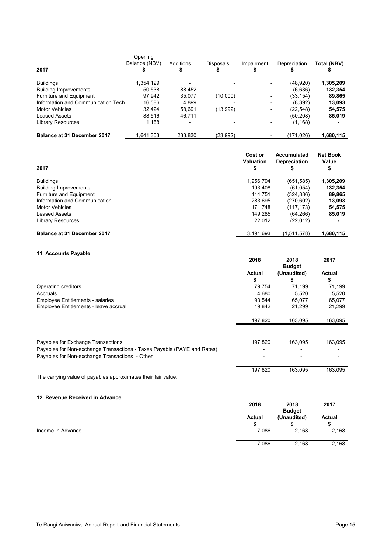| 2017                               | Opening<br>Balance (NBV) | Additions<br>\$ | <b>Disposals</b> | Impairment | Depreciation | Total (NBV) |
|------------------------------------|--------------------------|-----------------|------------------|------------|--------------|-------------|
| <b>Buildings</b>                   | 1,354,129                |                 |                  |            | (48, 920)    | 1,305,209   |
| <b>Building Improvements</b>       | 50.538                   | 88,452          |                  |            | (6,636)      | 132,354     |
| Furniture and Equipment            | 97.942                   | 35,077          | (10,000)         |            | (33, 154)    | 89,865      |
| Information and Communication Tech | 16,586                   | 4.899           |                  |            | (8, 392)     | 13,093      |
| <b>Motor Vehicles</b>              | 32,424                   | 58,691          | (13,992)         |            | (22,548)     | 54,575      |
| Leased Assets                      | 88,516                   | 46,711          |                  |            | (50, 208)    | 85,019      |
| <b>Library Resources</b>           | 1,168                    |                 |                  |            | (1, 168)     |             |
| <b>Balance at 31 December 2017</b> | .641,303                 | 233,830         | (23,992)         |            | (171, 026)   | l,680,115   |

| 2017                               | Cost or<br><b>Valuation</b><br>\$ | Accumulated<br><b>Depreciation</b> | <b>Net Book</b><br>Value<br>\$ |
|------------------------------------|-----------------------------------|------------------------------------|--------------------------------|
| <b>Buildings</b>                   | 1.956.794                         | (651, 585)                         | 1,305,209                      |
| <b>Building Improvements</b>       | 193,408                           | (61, 054)                          | 132,354                        |
| Furniture and Equipment            | 414,751                           | (324, 886)                         | 89,865                         |
| Information and Communication      | 283,695                           | (270, 602)                         | 13,093                         |
| <b>Motor Vehicles</b>              | 171.748                           | (117.173)                          | 54,575                         |
| Leased Assets                      | 149,285                           | (64, 266)                          | 85,019                         |
| <b>Library Resources</b>           | 22,012                            | (22,012)                           |                                |
| <b>Balance at 31 December 2017</b> | 3,191,693                         | (1,511,578)                        | 1,680,115                      |

#### **11. Accounts Payable**

| <b>II. ACCOUTILS FAYADIT</b>                                            | 2018          | 2018          | 2017          |
|-------------------------------------------------------------------------|---------------|---------------|---------------|
|                                                                         |               | <b>Budget</b> |               |
|                                                                         | <b>Actual</b> | (Unaudited)   | <b>Actual</b> |
|                                                                         | \$            | \$            | \$            |
| Operating creditors                                                     | 79,754        | 71,199        | 71,199        |
| Accruals                                                                | 4,680         | 5,520         | 5,520         |
| <b>Employee Entitlements - salaries</b>                                 | 93,544        | 65,077        | 65,077        |
| Employee Entitlements - leave accrual                                   | 19,842        | 21,299        | 21,299        |
|                                                                         | 197,820       | 163,095       | 163,095       |
|                                                                         |               |               |               |
| Payables for Exchange Transactions                                      | 197,820       | 163,095       | 163,095       |
| Payables for Non-exchange Transactions - Taxes Payable (PAYE and Rates) |               |               |               |
| Payables for Non-exchange Transactions - Other                          |               |               |               |
|                                                                         | 197,820       | 163,095       | 163,095       |
| The carrying value of payables approximates their fair value.           |               |               |               |

#### **12. Revenue Received in Advance**

|                   | 2018                | 2018<br><b>Budget</b> | 2017               |
|-------------------|---------------------|-----------------------|--------------------|
|                   | <b>Actual</b><br>S. | (Unaudited)           | <b>Actual</b><br>S |
| Income in Advance | 7,086               | 2,168                 | 2,168              |
|                   | 7,086               | 2,168                 | 2,168              |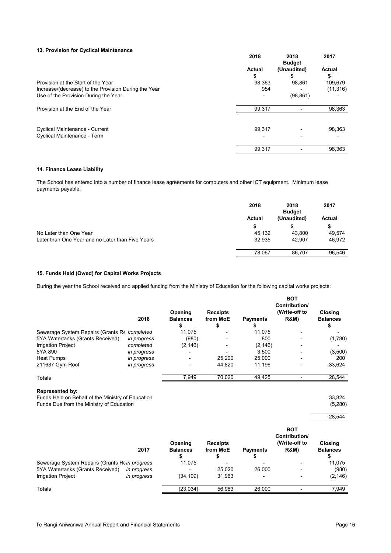#### **13. Provision for Cyclical Maintenance**

|                                                      | 2018                | 2018<br><b>Budget</b> | 2017                |
|------------------------------------------------------|---------------------|-----------------------|---------------------|
|                                                      | <b>Actual</b><br>\$ | (Unaudited)           | <b>Actual</b><br>\$ |
| Provision at the Start of the Year                   | 98,363              | 98,861                | 109,679             |
| Increase/(decrease) to the Provision During the Year | 954                 |                       | (11, 316)           |
| Use of the Provision During the Year                 |                     | (98, 861)             |                     |
| Provision at the End of the Year                     | 99,317              |                       | 98,363              |
| <b>Cyclical Maintenance - Current</b>                | 99,317              |                       | 98,363              |
| Cyclical Maintenance - Term                          |                     |                       |                     |
|                                                      | 99,317              |                       | 98,363              |

#### **14. Finance Lease Liability**

The School has entered into a number of finance lease agreements for computers and other ICT equipment. Minimum lease payments payable:

|                                                  | 2018          | 2018<br><b>Budget</b> | 2017          |
|--------------------------------------------------|---------------|-----------------------|---------------|
|                                                  | <b>Actual</b> | (Unaudited)           | <b>Actual</b> |
|                                                  | \$            |                       | \$            |
| No Later than One Year                           | 45,132        | 43,800                | 49,574        |
| Later than One Year and no Later than Five Years | 32,935        | 42,907                | 46,972        |
|                                                  | 78,067        | 86.707                | 96,546        |

#### **15. Funds Held (Owed) for Capital Works Projects**

During the year the School received and applied funding from the Ministry of Education for the following capital works projects:

|                                              | 2018        | Opening<br><b>Balances</b> | <b>Receipts</b><br>from MoE | <b>Payments</b> | <b>BOT</b><br>Contribution/<br>(Write-off to<br><b>R&amp;M)</b> | <b>Closing</b><br><b>Balances</b> |
|----------------------------------------------|-------------|----------------------------|-----------------------------|-----------------|-----------------------------------------------------------------|-----------------------------------|
|                                              |             | \$                         | Φ                           |                 |                                                                 |                                   |
| Sewerage System Repairs (Grants Re completed |             | 11,075                     |                             | 11,075          |                                                                 |                                   |
| 5YA Watertanks (Grants Received)             | in progress | (980)                      |                             | 800             |                                                                 | (1,780)                           |
| <b>Irrigation Project</b>                    | completed   | (2, 146)                   |                             | (2, 146)        |                                                                 |                                   |
| 5YA 890                                      | in progress |                            |                             | 3,500           |                                                                 | (3,500)                           |
| <b>Heat Pumps</b>                            | in progress |                            | 25,200                      | 25,000          |                                                                 | <b>200</b>                        |
| 211637 Gym Roof                              | in progress |                            | 44,820                      | 11,196          |                                                                 | 33,624                            |
| <b>Totals</b>                                |             | 7,949                      | 70,020                      | 49,425          |                                                                 | 28,544                            |

#### **Represented by:**

Funds Held on Behalf of the Ministry of Education 33,824 Services and Services 2008 Services 33,824 Funds Due from the Ministry of Education (5,280)

|                                                | 2017        | Opening<br><b>Balances</b><br>\$ | <b>Receipts</b><br>from MoE<br>\$ | <b>Payments</b> | <b>BOT</b><br>Contribution/<br>(Write-off to<br><b>R&amp;M)</b> | 28,544                            |  |
|------------------------------------------------|-------------|----------------------------------|-----------------------------------|-----------------|-----------------------------------------------------------------|-----------------------------------|--|
|                                                |             |                                  |                                   |                 |                                                                 | <b>Closing</b><br><b>Balances</b> |  |
| Sewerage System Repairs (Grants Re in progress |             | 11,075                           |                                   |                 |                                                                 | 11,075                            |  |
| 5YA Watertanks (Grants Received)               | in progress |                                  | 25,020                            | 26,000          |                                                                 | (980)                             |  |
| <b>Irrigation Project</b>                      | in progress | (34, 109)                        | 31,963                            |                 |                                                                 | (2, 146)                          |  |
| <b>Totals</b>                                  |             | (23, 034)                        | 56,983                            | 26,000          |                                                                 | 7,949                             |  |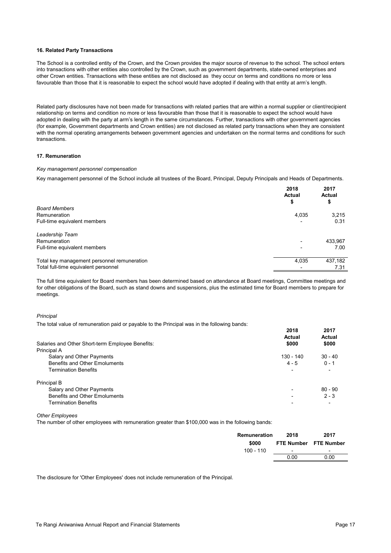#### **16. Related Party Transactions**

The School is a controlled entity of the Crown, and the Crown provides the major source of revenue to the school. The school enters into transactions with other entities also controlled by the Crown, such as government departments, state-owned enterprises and other Crown entities. Transactions with these entities are not disclosed as they occur on terms and conditions no more or less favourable than those that it is reasonable to expect the school would have adopted if dealing with that entity at arm's length.

Related party disclosures have not been made for transactions with related parties that are within a normal supplier or client/recipient relationship on terms and condition no more or less favourable than those that it is reasonable to expect the school would have adopted in dealing with the party at arm's length in the same circumstances. Further, transactions with other government agencies (for example, Government departments and Crown entities) are not disclosed as related party transactions when they are consistent with the normal operating arrangements between government agencies and undertaken on the normal terms and conditions for such transactions.

#### **17. Remuneration**

#### *Key management personnel compensation*

Key management personnel of the School include all trustees of the Board, Principal, Deputy Principals and Heads of Departments.

|                                             | 2018<br><b>Actual</b><br>Φ | 2017<br><b>Actual</b><br>\$ |
|---------------------------------------------|----------------------------|-----------------------------|
| <b>Board Members</b>                        |                            |                             |
| Remuneration                                | 4,035                      | 3,215                       |
| Full-time equivalent members                |                            | 0.31                        |
| Leadership Team                             |                            |                             |
| Remuneration                                |                            | 433,967                     |
| Full-time equivalent members                |                            | 7.00                        |
| Total key management personnel remuneration | 4,035                      | 437,182                     |
| Total full-time equivalent personnel        |                            | 7.31                        |

The full time equivalent for Board members has been determined based on attendance at Board meetings, Committee meetings and for other obligations of the Board, such as stand downs and suspensions, plus the estimated time for Board members to prepare for meetings.

#### *Principal*

The total value of remuneration paid or payable to the Principal was in the following bands:

|                                                  | 2018<br><b>Actual</b> | 2017<br><b>Actual</b> |
|--------------------------------------------------|-----------------------|-----------------------|
| Salaries and Other Short-term Employee Benefits: | \$000                 | \$000                 |
| Principal A                                      |                       |                       |
| Salary and Other Payments                        | 130 - 140             | $30 - 40$             |
| <b>Benefits and Other Emoluments</b>             | $4 - 5$               | $0 - 1$               |
| <b>Termination Benefits</b>                      |                       |                       |
| Principal B                                      |                       |                       |
| Salary and Other Payments                        |                       | $80 - 90$             |
| <b>Benefits and Other Emoluments</b>             |                       | $2 - 3$               |
| <b>Termination Benefits</b>                      |                       |                       |

#### *Other Employees*

The number of other employees with remuneration greater than \$100,000 was in the following bands:

| Remuneration<br>\$000 | 2018                     | 2017<br>FTE Number FTE Number |
|-----------------------|--------------------------|-------------------------------|
| $100 - 110$           | $\overline{\phantom{a}}$ | $\blacksquare$                |
|                       | 0.00                     | 0.00                          |
|                       |                          |                               |

The disclosure for 'Other Employees' does not include remuneration of the Principal.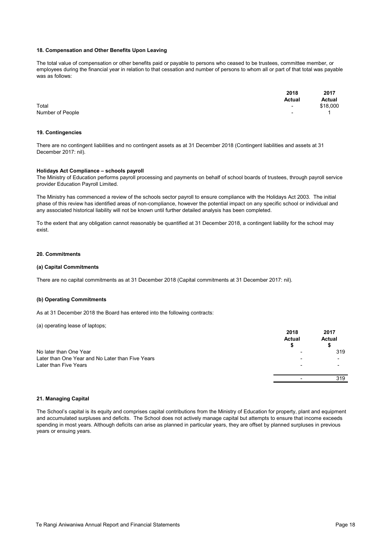#### **18. Compensation and Other Benefits Upon Leaving**

The total value of compensation or other benefits paid or payable to persons who ceased to be trustees, committee member, or employees during the financial year in relation to that cessation and number of persons to whom all or part of that total was payable was as follows:

|                  | 2018          | 2017<br><b>Actual</b> |
|------------------|---------------|-----------------------|
|                  | <b>Actual</b> |                       |
| Total            | $\sim$        | \$18,000              |
| Number of People | $\sim$        |                       |

#### **19. Contingencies**

There are no contingent liabilities and no contingent assets as at 31 December 2018 (Contingent liabilities and assets at 31 December 2017: nil).

#### **Holidays Act Compliance – schools payroll**

The Ministry of Education performs payroll processing and payments on behalf of school boards of trustees, through payroll service provider Education Payroll Limited.

The Ministry has commenced a review of the schools sector payroll to ensure compliance with the Holidays Act 2003. The initial phase of this review has identified areas of non-compliance, however the potential impact on any specific school or individual and any associated historical liability will not be known until further detailed analysis has been completed.

To the extent that any obligation cannot reasonably be quantified at 31 December 2018, a contingent liability for the school may exist.

#### **20. Commitments**

#### **(a) Capital Commitments**

There are no capital commitments as at 31 December 2018 (Capital commitments at 31 December 2017: nil).

#### **(b) Operating Commitments**

As at 31 December 2018 the Board has entered into the following contracts:

#### (a) operating lease of laptops;

|                                                  | 2018<br><b>Actual</b>    | 2017<br><b>Actual</b>    |
|--------------------------------------------------|--------------------------|--------------------------|
| No later than One Year                           |                          | 319                      |
| Later than One Year and No Later than Five Years |                          | $\overline{\phantom{a}}$ |
| Later than Five Years                            | $\overline{\phantom{0}}$ | $\overline{\phantom{0}}$ |
|                                                  |                          | 319                      |

#### **21. Managing Capital**

The School's capital is its equity and comprises capital contributions from the Ministry of Education for property, plant and equipment and accumulated surpluses and deficits. The School does not actively manage capital but attempts to ensure that income exceeds spending in most years. Although deficits can arise as planned in particular years, they are offset by planned surpluses in previous years or ensuing years.